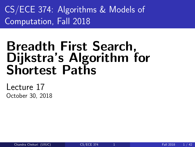<span id="page-0-0"></span>CS/ECE 374: Algorithms & Models of Computation, Fall 2018

# Breadth First Search, Dijkstra's Algorithm for Shortest Paths

Lecture 17 October 30, 2018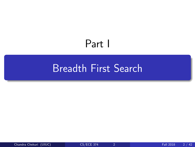# Part I

# <span id="page-1-0"></span>[Breadth First Search](#page-1-0)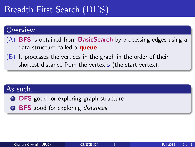# Breadth First Search (BFS)

#### Overview

- (A) **BFS** is obtained from **BasicSearch** by processing edges using a data structure called a **queue**.
- $(B)$  It processes the vertices in the graph in the order of their shortest distance from the vertex  $s$  (the start vertex).

### As such...

- **1 DFS** good for exploring graph structure
- **2 BFS** good for exploring distances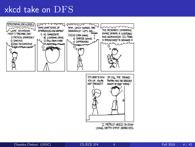### xkcd take on DFS

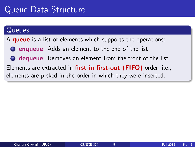#### Queues

A **queue** is a list of elements which supports the operations:

**1** enqueue: Adds an element to the end of the list

**2** dequeue: Removes an element from the front of the list Elements are extracted in first-in first-out (FIFO) order, i.e., elements are picked in the order in which they were inserted.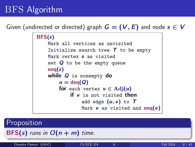## BFS Algorithm

Given (undirected or directed) graph  $G = (V, E)$  and node  $s \in V$ 

```
BFS(s)Mark all vertices as unvisited
Initialize search tree \tau to be empty
Mark vertex s as visited
set Q to be the empty queue
eng(s)while Q is nonempty do
    u = \text{deg}(Q)for each vertex v \in \text{Adj}(u)if v is not visited then
             add edge (u, v) to TMark v as visited and enq(v)
```
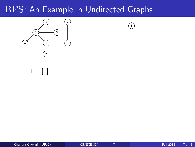

 $\binom{1}{1}$ 

1. [1]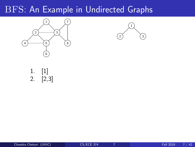



1. [1] 2. [2,3]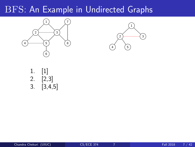



1. [1] 2. [2,3] 3. [3,4,5]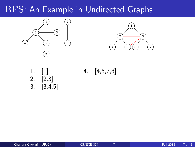



- 2. [2,3] 3. [3,4,5]
- 1. [1] 4. [4,5,7,8]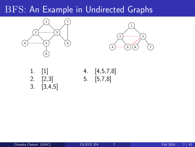



| 1. | $[1]$   |
|----|---------|
| 2. | [2,3]   |
| 3. | [3,4,5] |

4.  $[4, 5, 7, 8]$  $5.$  [5,7,8]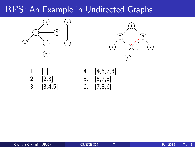



- 
- 1. [1] 4. [4,5,7,8] 2. [2,3] 5. [5,7,8] 3. [3,4,5] 6. [7,8,6]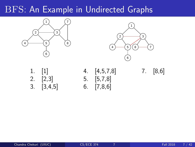



| 1. | $[1] % \includegraphics[width=0.9\columnwidth]{figures/fig_1a} \caption{The figure shows the number of times on the right, and the number of times on the right, respectively.} \label{fig:1} %$ |
|----|--------------------------------------------------------------------------------------------------------------------------------------------------------------------------------------------------|
| 2. | [2,3]                                                                                                                                                                                            |
| 3. | [3,4,5]                                                                                                                                                                                          |

1. [1] 4. [4,5,7,8] 7. [8,6] 2. [2,3] 5. [5,7,8]  $\begin{bmatrix} 3 & 5 \end{bmatrix}$  6.  $\begin{bmatrix} 7,8,6 \end{bmatrix}$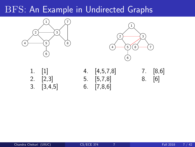



| 1. | $\left[1\right]$ |
|----|------------------|
| 2. | [2,3]            |
| 3. | [3, 4, 5]        |

1. [1] 4. [4,5,7,8] 7. [8,6] 2. [2,3] 5. [5,7,8] 8. [6]  $6.$  [7,8,6]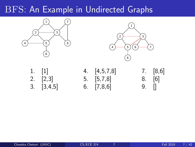



| 1. | [1]     |
|----|---------|
| 2. | $[2,3]$ |
| 3. | [3,4,5] |

2. [2,3] 5. [5,7,8] 8. [6]  $3.6$ ] 9. []

1. [1] 4. [4,5,7,8] 7. [8,6]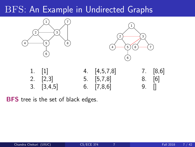



| 1. $[1]$           | 4. $[4,5,7,8]$     |                     | $7.$ [8,6] |
|--------------------|--------------------|---------------------|------------|
| 2. $[2,3]$         | $5. \quad [5,7,8]$ |                     | $8. \t[6]$ |
| $3. \quad [3,4,5]$ |                    | 6. $[7,8,6]$ 9. $[$ |            |

**BFS** tree is the set of black edges.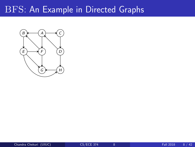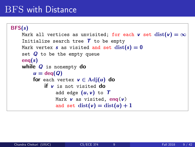### BFS with Distance

```
BFS(s)Mark all vertices as unvisited; for each v set dist(v) = \inftyInitialize search tree \tau to be empty
Mark vertex s as visited and set dist(s) = 0set Q to be the empty queue
eng(s)while Q is nonempty do
    u = \text{deg}(Q)for each vertex v \in \text{Adj}(u) do
        if v is not visited do
             add edge (u, v) to TMark v as visited, eng(v)
             and set dist(v) = dist(u) + 1
```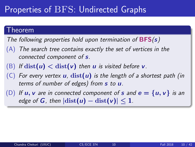## Properties of BFS: Undirected Graphs

#### Theorem

The following properties hold upon termination of  $BFS(s)$ 

- $(A)$  The search tree contains exactly the set of vertices in the connected component of s.
- (B) If  $dist(u) < dist(v)$  then u is visited before v.
- (C) For every vertex  $u$ ,  $dist(u)$  is the length of a shortest path (in terms of number of edges) from  $s$  to  $u$ .
- (D) If  $u, v$  are in connected component of s and  $e = \{u, v\}$  is an edge of G, then  $|\text{dist}(u) - \text{dist}(v)| \leq 1$ .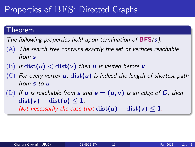## Properties of BFS: Directed Graphs

#### Theorem

The following properties hold upon termination of  $BFS(s)$ :

- $(A)$  The search tree contains exactly the set of vertices reachable from s
- (B) If  $dist(u) < dist(v)$  then u is visited before v
- (C) For every vertex **u**,  $dist(u)$  is indeed the length of shortest path from s to u
- (D) If u is reachable from s and  $e = (u, v)$  is an edge of G, then  $dist(v) - dist(u) \leq 1$ . Not necessarily the case that  $dist(u) - dist(v) \leq 1$ .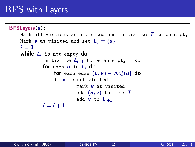### BFS with Layers

```
BFSLayers(s):
Mark all vertices as unvisited and initialize T to be empty
Mark s as visited and set L_0 = \{s\}i = 0while L_i is not empty do
         initialize L_{i+1} to be an empty list
         for each u in L_i do
             for each edge (u, v) \in \text{Adj}(u) do
             if v is not visited
                      mark v as visited
                      add (u, v) to tree Tadd v to L_{i+1}i = i + 1
```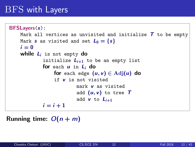### BFS with Layers

```
BFSLayers(s):
Mark all vertices as unvisited and initialize T to be empty
Mark s as visited and set L_0 = \{s\}i = 0while L_i is not empty do
         initialize L_{i+1} to be an empty list
         for each u in L_i do
             for each edge (u, v) \in \text{Adj}(u) do
             if v is not visited
                      mark v as visited
                      add (u, v) to tree Tadd v to L_{i+1}i = i + 1
```
#### Running time:  $O(n + m)$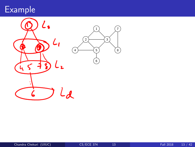# Example

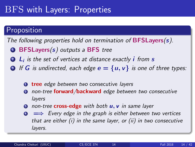## BFS with Layers: Properties

### **Proposition**

The following properties hold on termination of **BFSLayers** $(s)$ .

- $\bullet$  BFSLayers(s) outputs a BFS tree
- $\bullet$   $\sf L_i$  is the set of vertices at distance exactly  $\sf i$  from  $\sf s$
- **3** If G is undirected, each edge  $e = \{u, v\}$  is one of three types:
	- **1 tree** edge between two consecutive layers
	- **2** non-tree **forward/backward** edge between two consecutive layers
	- **3** non-tree **cross-edge** with both **u**, **v** in same layer
	- $\bullet \implies$  Every edge in the graph is either between two vertices that are either (i) in the same layer, or (ii) in two consecutive layers.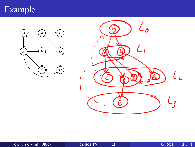# Example

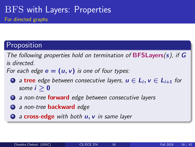### **Proposition**

The following properties hold on termination of **BFSLayers**(s), if  $G$ is directed.

For each edge  $e = (u, v)$  is one of four types:

- **1** a tree edge between consecutive layers,  $u \in L_i$ ,  $v \in L_{i+1}$  for some  $i > 0$
- 2 a non-tree **forward** edge between consecutive layers
- **3** a non-tree **backward** edge
- $\bullet$  a cross-edge with both  $u, v$  in same layer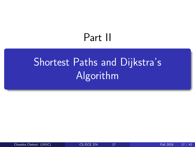# Part II

# <span id="page-26-0"></span>[Shortest Paths and Dijkstra's](#page-26-0) [Algorithm](#page-26-0)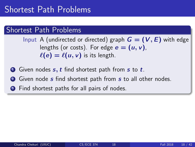#### Shortest Path Problems

Input A (undirected or directed) graph  $G = (V, E)$  with edge lengths (or costs). For edge  $e = (u, v)$ ,  $\ell(e) = \ell(u, v)$  is its length.

- **1** Given nodes  $s, t$  find shortest path from  $s$  to  $t$ .
- **2** Given node *s* find shortest path from *s* to all other nodes.
- **3** Find shortest paths for all pairs of nodes.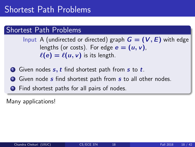#### Shortest Path Problems

Input A (undirected or directed) graph  $G = (V, E)$  with edge lengths (or costs). For edge  $e = (u, v)$ ,  $\ell(e) = \ell(u, v)$  is its length.

- **1** Given nodes  $s, t$  find shortest path from  $s$  to  $t$ .
- **2** Given node *s* find shortest path from *s* to all other nodes.
- **3** Find shortest paths for all pairs of nodes.

Many applications!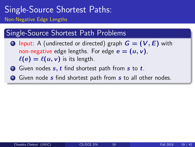### Single-Source Shortest Paths: Non-Negative Edge Lengths

### Single-Source Shortest Path Problems

- **1** Input: A (undirected or directed) graph  $G = (V, E)$  with non-negative edge lengths. For edge  $e = (u, v)$ ,  $\ell(e) = \ell(u, v)$  is its length.
- $\bullet$  Given nodes  $s, t$  find shortest path from  $s$  to  $t$ .
- **3** Given node *s* find shortest path from *s* to all other nodes.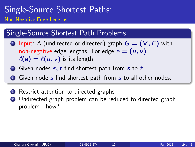### Single-Source Shortest Paths: Non-Negative Edge Lengths

### Single-Source Shortest Path Problems

- **1** Input: A (undirected or directed) graph  $G = (V, E)$  with non-negative edge lengths. For edge  $e = (u, v)$ ,  $\ell(e) = \ell(u, v)$  is its length.
- $\bullet$  Given nodes  $s, t$  find shortest path from  $s$  to  $t$ .
- **3** Given node *s* find shortest path from *s* to all other nodes.
- **1** Restrict attention to directed graphs
- <sup>2</sup> Undirected graph problem can be reduced to directed graph problem - how?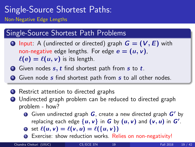### Single-Source Shortest Paths: Non-Negative Edge Lengths

### Single-Source Shortest Path Problems

- **1** Input: A (undirected or directed) graph  $G = (V, E)$  with non-negative edge lengths. For edge  $e = (u, v)$ ,  $\ell(e) = \ell(u, v)$  is its length.
- $\bullet$  Given nodes  $s, t$  find shortest path from  $s$  to  $t$ .
- **3** Given node *s* find shortest path from *s* to all other nodes.
- **1** Restrict attention to directed graphs
- 2 Undirected graph problem can be reduced to directed graph problem - how?
	- **O** Given undirected graph  $G$ , create a new directed graph  $G'$  by replacing each edge  $\{u, v\}$  in  $G$  by  $(u, v)$  and  $(v, u)$  in  $G'.$
	- **2** set  $\ell(u, v) = \ell(v, u) = \ell({u, v})$
	- **3** Exercise: show reduction works. Relies on non-negativity!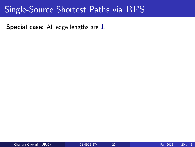Special case: All edge lengths are 1.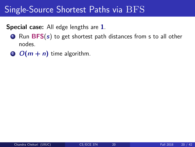#### Special case: All edge lengths are 1.

- $\bullet$  Run BFS(s) to get shortest path distances from s to all other nodes.
- 2  $O(m + n)$  time algorithm.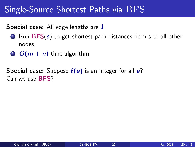#### Special case: All edge lengths are 1.

- $\bullet$  Run BFS(s) to get shortest path distances from s to all other nodes.
- $\odot$   $O(m + n)$  time algorithm.

**Special case:** Suppose  $\ell(e)$  is an integer for all e? Can we use BFS?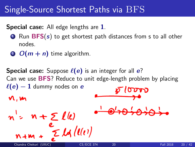#### Special case: All edge lengths are 1.

- $\bullet$  Run BFS(s) to get shortest path distances from s to all other nodes.
- 2  $O(m + n)$  time algorithm.

**Special case:** Suppose  $\ell(e)$  is an integer for all e? Can we use BFS? Reduce to unit edge-length problem by placing  $\ell(e) - 1$  dummy nodes on e  $\delta$ n,m  $n'$ =  $n + \sum l(e)$  $N+m + \sum_{\text{Chandra Chekuri (UUUC)}} \mathcal{L}(\ell(\ell))$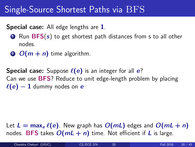# Single-Source Shortest Paths via BFS

#### Special case: All edge lengths are 1.

- $\bullet$  Run BFS(s) to get shortest path distances from s to all other nodes.
- $\odot$   $O(m + n)$  time algorithm.

**Special case:** Suppose  $\ell(e)$  is an integer for all  $e$ ? Can we use BFS? Reduce to unit edge-length problem by placing  $\ell(e) - 1$  dummy nodes on e

Let  $L = \max_e \ell(e)$ . New graph has  $O(mL)$  edges and  $O(mL + n)$ nodes. BFS takes  $O(mL + n)$  time. Not efficient if L is large.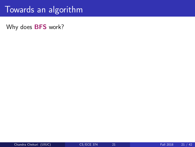## Towards an algorithm

Why does **BFS** work?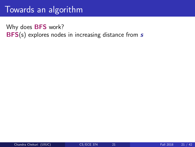## Towards an algorithm

Why does **BFS** work? BFS(s) explores nodes in increasing distance from s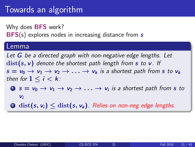## Towards an algorithm

Why does **BFS** work? **BFS(s)** explores nodes in increasing distance from s

#### Lemma

Let  $G$  be a directed graph with non-negative edge lengths. Let  $dist(s, v)$  denote the shortest path length from s to v. If  $s = v_0 \rightarrow v_1 \rightarrow v_2 \rightarrow \ldots \rightarrow v_k$  is a shortest path from s to  $v_k$ then for  $1 \leq i \leq k$ :

- $\bullet\;s=\mathsf{v}_0\to\mathsf{v}_1\to\mathsf{v}_2\to\ldots\to\mathsf{v}_i$  is a shortest path from  $s$  to  $V_i$
- **2** dist(s,  $v_i$ )  $\leq$  dist(s,  $v_k$ ). Relies on non-neg edge lengths.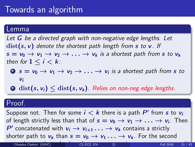#### Lemma

Let  $G$  be a directed graph with non-negative edge lengths. Let  $dist(s, v)$  denote the shortest path length from s to v. If  $s = v_0 \rightarrow v_1 \rightarrow v_2 \rightarrow \ldots \rightarrow v_k$  is a shortest path from s to  $v_k$ then for  $1 \leq i \leq k$ :

- $\bullet\;s=\mathsf{v}_0\to\mathsf{v}_1\to\mathsf{v}_2\to\ldots\to\mathsf{v}_i$  is a shortest path from  $s$  to  $V_i$
- 2 dist(s,  $v_i$ )  $\le$  dist(s,  $v_k$ ). Relies on non-neg edge lengths.

#### Proof.

Suppose not. Then for some  $i < k$  there is a path  $P'$  from  $s$  to  $v_i$ of length strictly less than that of  $s=\mathsf{v}_0 \rightarrow \mathsf{v}_1 \rightarrow \ldots \rightarrow \mathsf{v}_i$ . Then P' concatenated with  $v_i \rightarrow v_{i+1} \ldots \rightarrow v_k$  contains a strictly shorter path to  $v_k$  than  $s = v_0 \rightarrow v_1 \ldots \rightarrow v_k$ . For the second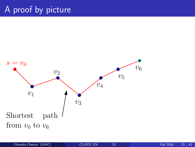# A proof by picture

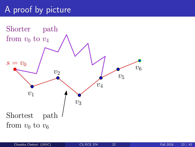# A proof by picture

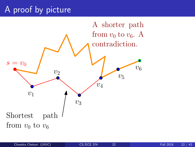# A proof by picture

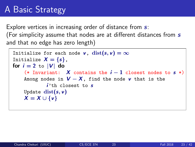# A Basic Strategy

Explore vertices in increasing order of distance from  $s$ . (For simplicity assume that nodes are at different distances from  $s$ and that no edge has zero length)

```
Initialize for each node v, dist(s, v) = \inftyInitialize X = \{s\},\for i = 2 to |V| do
(* Invariant: X contains the i-1 closest nodes to s *)
Among nodes in V - X, find the node v that is the
        i'th closest to sUpdate dist(s, v)X = X \cup \{v\}
```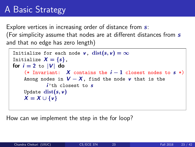# A Basic Strategy

Explore vertices in increasing order of distance from  $s$ . (For simplicity assume that nodes are at different distances from  $s$ and that no edge has zero length)

```
Initialize for each node v, dist(s, v) = \inftyInitialize X = \{s\},\for i = 2 to |V| do
(* Invariant: X contains the i-1 closest nodes to s *)
Among nodes in V - X, find the node v that is the
        i'th closest to sUpdate dist(s, v)X = X \cup \{v\}
```
How can we implement the step in the for loop?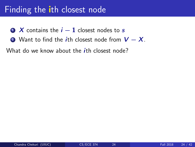- $\bullet$  X contains the  $i 1$  closest nodes to s
- 2 Want to find the *i*th closest node from  $V X$ .

What do we know about the *i*th closest node?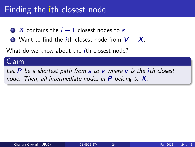- $\bullet$  X contains the  $i 1$  closest nodes to s
- 2 Want to find the *i*th closest node from  $V X$ .

What do we know about the *i*th closest node?

### Claim

Let  $P$  be a shortest path from  $s$  to  $v$  where  $v$  is the *i*th closest node. Then, all intermediate nodes in  $P$  belong to  $X$ .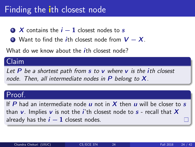- $\bullet$  X contains the  $i 1$  closest nodes to s
- 2 Want to find the *i*th closest node from  $V X$ .

What do we know about the *i*th closest node?

### Claim

Let  $P$  be a shortest path from  $s$  to  $v$  where  $v$  is the *i*th closest node. Then, all intermediate nodes in  $P$  belong to  $X$ .

### Proof.

If P had an intermediate node u not in X then u will be closer to s than v. Implies v is not the *i*'th closest node to  $s$  - recall that X already has the  $i - 1$  closest nodes.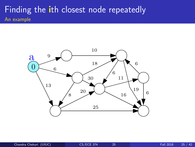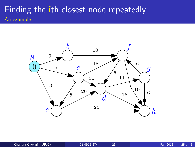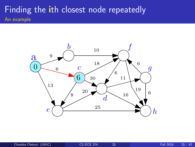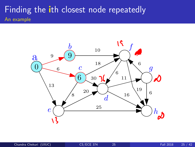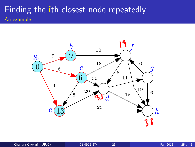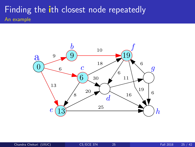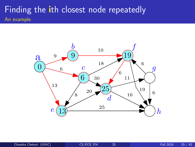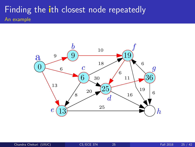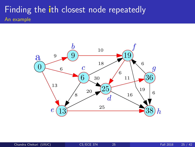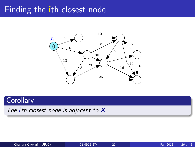

### **Corollary**

The ith closest node is adjacent to  $X$ .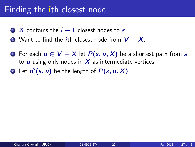- $\bullet$  X contains the  $i 1$  closest nodes to s
- 2 Want to find the *i*th closest node from  $V X$ .
- **1** For each  $u \in V X$  let  $P(s, u, X)$  be a shortest path from s to  $\boldsymbol{u}$  using only nodes in  $\boldsymbol{X}$  as intermediate vertices.
- **2** Let  $d'(s, u)$  be the length of  $P(s, u, X)$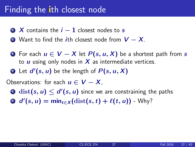- $\bullet$  X contains the  $i-1$  closest nodes to s
- 2 Want to find the *i*th closest node from  $V X$ .
- **1** For each  $u \in V X$  let  $P(s, u, X)$  be a shortest path from s to  $\boldsymbol{u}$  using only nodes in  $\boldsymbol{X}$  as intermediate vertices.
- **2** Let  $d'(s, u)$  be the length of  $P(s, u, X)$

Observations: for each  $u \in V - X$ ,

- $\mathbf{D} \ \operatorname{dist}(s,u) \leq d'(s,u)$  since we are constraining the paths
- 2  $d'(s, u) = \min_{t \in X} (\text{dist}(s, t) + \ell(t, u))$  Why?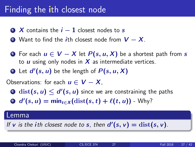- $\bullet$  X contains the  $i 1$  closest nodes to s
- 2 Want to find the *i*th closest node from  $V X$ .
- **1** For each  $u \in V X$  let  $P(s, u, X)$  be a shortest path from s to  $\boldsymbol{u}$  using only nodes in  $\boldsymbol{X}$  as intermediate vertices.
- **2** Let  $d'(s, u)$  be the length of  $P(s, u, X)$

Observations: for each  $u \in V - X$ ,

- $\mathbf{D} \ \operatorname{dist}(s,u) \leq d'(s,u)$  since we are constraining the paths
- 2  $d'(s, u) = \min_{t \in X} (\text{dist}(s, t) + \ell(t, u))$  Why?

#### Lemma

If v is the ith closest node to s, then  $d'(s, v) = \text{dist}(s, v)$ .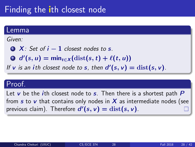#### Lemma

Given:

 $\bullet$  X: Set of  $i - 1$  closest nodes to s.

2  $d'(s, u) = \min_{t \in X} (\text{dist}(s, t) + \ell(t, u))$ 

If **v** is an ith closest node to **s**, then  $d'(s, v) = \text{dist}(s, v)$ .

#### Proof.

Let  $v$  be the *i*th closest node to  $s$ . Then there is a shortest path  $P$ from s to v that contains only nodes in  $X$  as intermediate nodes (see previous claim). Therefore  $d'(s, v) = \text{dist}(s, v)$ .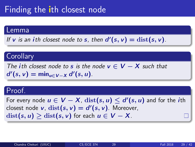#### Lemma

If **v** is an ith closest node to **s**, then  $d'(s, v) = \text{dist}(s, v)$ .

#### **Corollary**

The ith closest node to s is the node  $v \in V - X$  such that  $d'(s, v) = \min_{u \in V - X} d'(s, u).$ 

#### Proof.

For every node  $u \in V - X$ ,  $\mathrm{dist}(s, u) \le d'(s, u)$  and for the  $i$ th closest node  $v$ ,  $dist(s, v) = d'(s, v)$ . Moreover,  $dist(s, u) > dist(s, v)$  for each  $u \in V - X$ .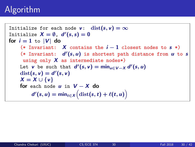Initialize for each node v:  $dist(s, v) = \infty$ Initialize  $X = \emptyset$ ,  $d'(s, s) = 0$ for  $i = 1$  to  $|V|$  do (\* Invariant: X contains the  $i-1$  closest nodes to  $s$  \*) (\* Invariant:  $d'(s, u)$  is shortest path distance from  $u$  to s using only  $X$  as intermediate nodes\*) Let  $v$  be such that  $d'(s, v) = \min_{u \in V-X} d'(s, u)$  $dist(s, v) = d'(s, v)$  $X = X \cup \{v\}$ for each node  $u$  in  $V - X$  do  $d'(s, u) = \min_{t \in X} (\text{dist}(s, t) + \ell(t, u))$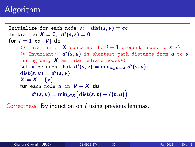Initialize for each node v:  $dist(s, v) = \infty$ Initialize  $X = \emptyset$ ,  $d'(s, s) = 0$ for  $i = 1$  to  $|V|$  do (\* Invariant: X contains the  $i-1$  closest nodes to  $s$  \*) (\* Invariant:  $d'(s, u)$  is shortest path distance from  $u$  to s using only  $X$  as intermediate nodes\*) Let  $v$  be such that  $d'(s, v) = \min_{u \in V-X} d'(s, u)$  $dist(s, v) = d'(s, v)$  $X = X \cup \{v\}$ for each node  $u$  in  $V - X$  do  $d'(s, u) = \min_{t \in X} (\text{dist}(s, t) + \ell(t, u))$ 

Correctness: By induction on  $\boldsymbol{i}$  using previous lemmas.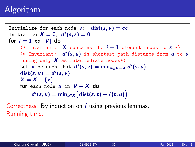Initialize for each node v:  $dist(s, v) = \infty$ Initialize  $X = \emptyset$ ,  $d'(s, s) = 0$ for  $i = 1$  to  $|V|$  do (\* Invariant: X contains the  $i-1$  closest nodes to  $s$  \*) (\* Invariant:  $d'(s, u)$  is shortest path distance from  $u$  to s using only  $X$  as intermediate nodes\*) Let  $v$  be such that  $d'(s, v) = \min_{u \in V-X} d'(s, u)$  $dist(s, v) = d'(s, v)$  $X = X \cup \{v\}$ for each node  $u$  in  $V - X$  do  $d'(s, u) = \min_{t \in X} (\text{dist}(s, t) + \ell(t, u))$ 

Correctness: By induction on  $\boldsymbol{i}$  using previous lemmas. Running time: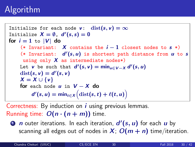Initialize for each node v:  $dist(s, v) = \infty$ Initialize  $X = \emptyset$ ,  $d'(s, s) = 0$ for  $i = 1$  to  $|V|$  do (\* Invariant: X contains the  $i-1$  closest nodes to  $s$  \*) (\* Invariant:  $d'(s, u)$  is shortest path distance from  $u$  to s using only  $X$  as intermediate nodes\*) Let  $v$  be such that  $d'(s, v) = \min_{u \in V-X} d'(s, u)$  $dist(s, v) = d'(s, v)$  $X = X \cup \{v\}$ for each node  $u$  in  $V - X$  do  $d'(s, u) = \min_{t \in X} (\text{dist}(s, t) + \ell(t, u))$ 

Correctness: By induction on  $\boldsymbol{i}$  using previous lemmas. Running time:  $O(n \cdot (n + m))$  time.

**1**  $\boldsymbol{n}$  outer iterations. In each iteration,  $\boldsymbol{d}'(\boldsymbol{s},\boldsymbol{u})$  for each  $\boldsymbol{u}$  by scanning all edges out of nodes in  $X$ ;  $O(m + n)$  time/iteration.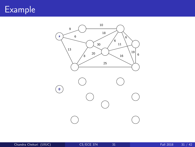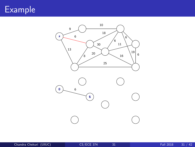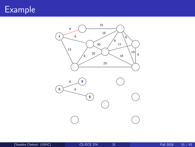



Chandra Chekuri (UIUC) [CS/ECE 374](#page-0-0) 31 Fall 2018 31 / 42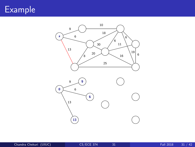



Chandra Chekuri (UIUC) [CS/ECE 374](#page-0-0) 31 Fall 2018 31 / 42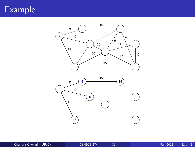



Chandra Chekuri (UIUC) [CS/ECE 374](#page-0-0) 31 Fall 2018 31 / 42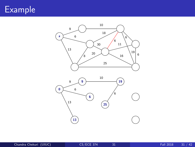

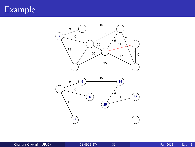

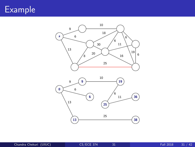

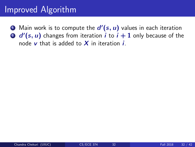### Improved Algorithm

 $\bullet$  Main work is to compute the  $d'(s,u)$  values in each iteration  $\bullet$   $d'(s,u)$  changes from iteration  $i$  to  $i+1$  only because of the node  $v$  that is added to  $X$  in iteration  $i$ .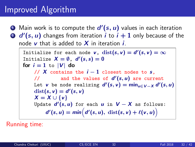### Improved Algorithm

 $\bullet$  Main work is to compute the  $d'(s,u)$  values in each iteration  $\bullet$   $d'(s,u)$  changes from iteration  $i$  to  $i+1$  only because of the node  $v$  that is added to  $X$  in iteration  $i$ .

Initialize for each node  $v$ ,  $dist(s, v) = d'(s, v) = \infty$ Initialize  $X = \emptyset$ ,  $d'(s, s) = 0$ for  $i = 1$  to  $|V|$  do // X contains the  $i-1$  closest nodes to  $s$ , // and the values of  $d'(s, u)$  are current Let  $v$  be node realizing  $d'(s, v) = \min_{u \in V-X} d'(s, u)$  $dist(s, v) = d'(s, v)$  $X = X \cup \{v\}$ Update  $d'(s, u)$  for each  $u$  in  $V - X$  as follows:  $d'(s, u) = min(d'(s, u), dist(s, v) + \ell(v, u))$ 

Running time: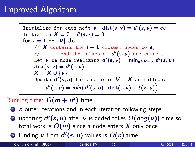### Improved Algorithm

Initialize for each node  $v$ ,  $dist(s, v) = d'(s, v) = \infty$ Initialize  $X = \emptyset$ ,  $d'(s, s) = 0$ for  $i = 1$  to  $|V|$  do // X contains the  $i - 1$  closest nodes to s. // and the values of  $d'(s, u)$  are current Let  $v$  be node realizing  $d'(s, v) = \min_{u \in V-X} d'(s, u)$  $dist(s, v) = d'(s, v)$  $X = X \cup \{v\}$ Update  $d'(s, u)$  for each  $u$  in  $V - X$  as follows:  $d'(s, u) = min(d'(s, u), dist(s, v) + \ell(v, u))$ 

#### Running time:  $O(m + n^2)$  time.

 $\bullet$  *n* outer iterations and in each iteration following steps

- $\bullet$  updating  $d'(s,u)$  after  $v$  is added takes  $O(deg(v))$  time so total work is  $O(m)$  since a node enters X only once
- **3** Finding  $v$  from  $d'(s, u)$  values is  $O(n)$  time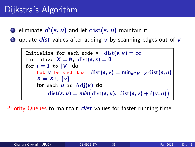## Dijkstra's Algorithm

- $\textcolor{black}{\bullet}$  eliminate  $d'(s,u)$  and let  $\text{dist}(s,u)$  maintain it
- **2** update *dist* values after adding v by scanning edges out of v

Initialize for each node v, 
$$
dist(s, v) = \infty
$$

\nInitialize  $X = \emptyset$ ,  $dist(s, s) = 0$ 

\nfor  $i = 1$  to  $|V|$  do

\nLet v be such that  $dist(s, v) = \min_{u \in V - X} dist(s, u)$ 

\n $X = X \cup \{v\}$ 

\nfor each u in  $Adj(v)$  do

\n $dist(s, u) = \min\left(\text{dist}(s, u), \text{dist}(s, v) + \ell(v, u)\right)$ 

Priority Queues to maintain *dist* values for faster running time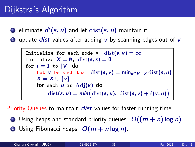## Dijkstra's Algorithm

- $\textcolor{black}{\bullet}$  eliminate  $d'(s,u)$  and let  $\text{dist}(s,u)$  maintain it
- 2 update *dist* values after adding  $\bf{v}$  by scanning edges out of  $\bf{v}$

Initialize for each node v, 
$$
dist(s, v) = \infty
$$

\nInitialize  $X = \emptyset$ ,  $dist(s, s) = 0$ 

\nfor  $i = 1$  to  $|V|$  do

\nLet v be such that  $dist(s, v) = \min_{u \in V - X} dist(s, u)$ 

\n $X = X \cup \{v\}$ 

\nfor each u in  $Adj(v)$  do

\n $dist(s, u) = \min\left(\text{dist}(s, u), \text{dist}(s, v) + \ell(v, u)\right)$ 

Priority Queues to maintain *dist* values for faster running time

- **1** Using heaps and standard priority queues:  $O((m + n) \log n)$
- **2** Using Fibonacci heaps:  $O(m + n \log n)$ .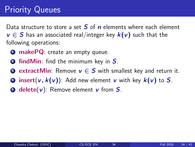## Priority Queues

Data structure to store a set  $S$  of  $n$  elements where each element  $v \in S$  has an associated real/integer key  $k(v)$  such that the following operations:

- **1** makePQ: create an empty queue.
- **2** find Min: find the minimum key in  $S$ .
- **3 extractMin**: Remove  $v \in S$  with smallest key and return it.
- **4** insert(v,  $k(v)$ ): Add new element v with key  $k(v)$  to S.
- $\bullet$  **delete(v):** Remove element v from S.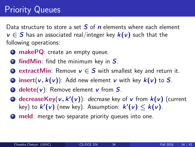## **Priority Queues**

Data structure to store a set  $S$  of  $n$  elements where each element  $v \in S$  has an associated real/integer key  $k(v)$  such that the following operations:

- **1** makePQ: create an empty queue.
- **2** find Min: find the minimum key in  $S$ .
- **E** extractMin: Remove  $v \in S$  with smallest key and return it.
- **4** insert(v,  $k(v)$ ): Add new element v with key  $k(v)$  to S.
- $\bullet$  **delete(v):** Remove element v from S.
- **O** decreaseKey( $v, k'(v)$ ): decrease key of  $v$  from  $k(v)$  (current key) to  $k'(\nu)$  (new key). Assumption:  $k'(\nu) \leq k(\nu)$ .
- **1** meld: merge two separate priority queues into one.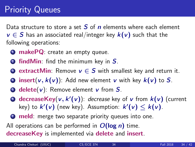## Priority Queues

Data structure to store a set  $S$  of  $n$  elements where each element  $v \in S$  has an associated real/integer key  $k(v)$  such that the following operations:

- **1** makePQ: create an empty queue.
- **2** find Min: find the minimum key in  $S$ .
- **E** extractMin: Remove  $v \in S$  with smallest key and return it.
- **4** insert(v,  $k(v)$ ): Add new element v with key  $k(v)$  to S.
- $\bullet$  **delete(v):** Remove element v from S.
- **O** decreaseKey( $v, k'(v)$ ): decrease key of  $v$  from  $k(v)$  (current key) to  $k'(\nu)$  (new key). Assumption:  $k'(\nu) \leq k(\nu)$ .
- **1** meld: merge two separate priority queues into one.

All operations can be performed in  $O(\log n)$  time. decreaseKey is implemented via delete and insert.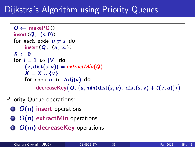## Dijkstra's Algorithm using Priority Queues

```
Q \leftarrow \text{makePO}()insert(Q, (s, 0))for each node u \neq s do
        insert(Q, (u,\infty))
X \leftarrow \emptysetfor i = 1 to |V| do
        (v, dist(s, v)) = extractMin(Q)X = X \cup \{v\}for each u in Adj(v) do
                  \mathsf{decreaseKey}\big(\textit{\textbf{Q}}, \, (\textit{\textbf{u}}, \textsf{min}(\mathit{dist}(\textit{\textbf{s}}, \textit{\textbf{u}}), \; \mathit{dist}(\textit{\textbf{s}}, \textit{\textbf{v}}) + \ell(\textit{\textbf{v}}, \textit{\textbf{u}})))\big).
```
Priority Queue operations:

- $\odot$   $O(n)$  insert operations
- $\Omega$   $O(n)$  extractMin operations
- $\odot$   $O(m)$  decreaseKey operations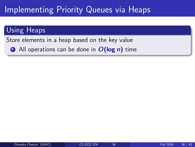## Implementing Priority Queues via Heaps

#### Using Heaps

Store elements in a heap based on the key value

 $\bullet$  All operations can be done in  $O(\log n)$  time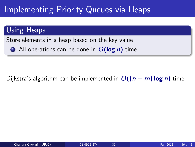## Implementing Priority Queues via Heaps

#### Using Heaps

Store elements in a heap based on the key value

 $\bullet$  All operations can be done in  $O(\log n)$  time

#### Dijkstra's algorithm can be implemented in  $O((n + m) \log n)$  time.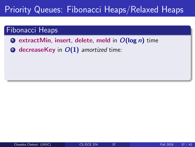- **O** extractMin, insert, delete, meld in  $O(\log n)$  time
- **2** decreaseKey in  $O(1)$  amortized time: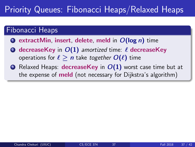- $\bullet$  extractMin, insert, delete, meld in  $O(\log n)$  time
- **2** decreaseKey in  $O(1)$  amortized time:  $\ell$  decreaseKey operations for  $\ell > n$  take together  $O(\ell)$  time
- **3** Relaxed Heaps: **decreaseKey** in  $O(1)$  worst case time but at the expense of meld (not necessary for Dijkstra's algorithm)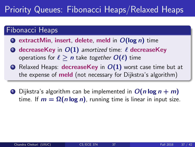- $\bullet$  extractMin, insert, delete, meld in  $O(\log n)$  time
- **2** decreaseKey in  $O(1)$  amortized time:  $\ell$  decreaseKey operations for  $\ell > n$  take together  $O(\ell)$  time
- **3** Relaxed Heaps: **decreaseKey** in  $O(1)$  worst case time but at the expense of meld (not necessary for Dijkstra's algorithm)
- **1** Dijkstra's algorithm can be implemented in  $O(n \log n + m)$ time. If  $m = \Omega(n \log n)$ , running time is linear in input size.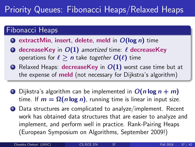- $\bullet$  extractMin, insert, delete, meld in  $O(\log n)$  time
- **2** decreaseKey in  $O(1)$  amortized time:  $\ell$  decreaseKey operations for  $\ell > n$  take together  $O(\ell)$  time
- $\odot$  Relaxed Heaps: decreaseKey in  $O(1)$  worst case time but at the expense of meld (not necessary for Dijkstra's algorithm)
- **1** Dijkstra's algorithm can be implemented in  $O(n \log n + m)$ time. If  $m = \Omega(n \log n)$ , running time is linear in input size.
- 2 Data structures are complicated to analyze/implement. Recent work has obtained data structures that are easier to analyze and implement, and perform well in practice. Rank-Pairing Heaps (European Symposium on Algorithms, September 2009!)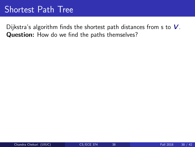### Shortest Path Tree

Dijkstra's algorithm finds the shortest path distances from  $s$  to  $V$ . Question: How do we find the paths themselves?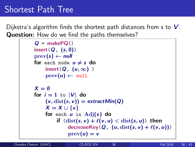## Shortest Path Tree

Dijkstra's algorithm finds the shortest path distances from  $s$  to  $V$ . Question: How do we find the paths themselves?

```
Q = \text{makePO}()insert(Q, (s, 0))prev(s) \leftarrow nullfor each node u \neq s do
     insert(Q, (u, \infty))
     prev(u) \leftarrow nullX = \emptysetfor i = 1 to |V| do
     (v, dist(s, v)) = extractMin(Q)X = X \cup \{v\}for each u in \text{Adj}(v) do
          if (\text{dist}(s, v) + \ell(v, u) < \text{dist}(s, u)) then
               decreaseKey(Q, (u, dist(s, v) + \ell(v, u)))prev(u) = v
```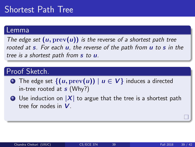### Shortest Path Tree

#### Lemma

The edge set  $(u, \text{prev}(u))$  is the reverse of a shortest path tree rooted at  $s$ . For each  $u$ , the reverse of the path from  $u$  to  $s$  in the tree is a shortest path from s to *.* 

#### Proof Sketch.

- **1** The edge set  $\{(u, \text{prev}(u)) | u \in V\}$  induces a directed in-tree rooted at  $s$  (Why?)
- **2** Use induction on  $|X|$  to argue that the tree is a shortest path tree for nodes in V .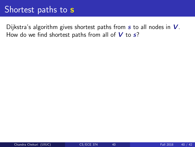#### Shortest paths to s

Dijkstra's algorithm gives shortest paths from  $s$  to all nodes in  $V$ . How do we find shortest paths from all of  $V$  to  $s$ ?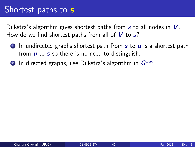#### Shortest paths to s

Dijkstra's algorithm gives shortest paths from  $s$  to all nodes in  $V$ . How do we find shortest paths from all of  $V$  to  $s$ ?

- $\bullet$  In undirected graphs shortest path from  $s$  to  $\mu$  is a shortest path from  $\boldsymbol{u}$  to  $\boldsymbol{s}$  so there is no need to distinguish.
- **2** In directed graphs, use Dijkstra's algorithm in  $G<sup>rev</sup>!$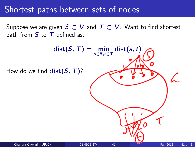#### Shortest paths between sets of nodes

Suppose we are given  $S \subset V$  and  $T \subset V$ . Want to find shortest path from  $S$  to  $T$  defined as:

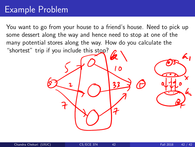You want to go from your house to a friend's house. Need to pick up some dessert along the way and hence need to stop at one of the many potential stores along the way. How do you calculate the "shortest" trip if you include this stop?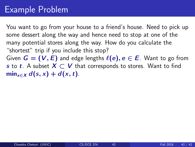You want to go from your house to a friend's house. Need to pick up some dessert along the way and hence need to stop at one of the many potential stores along the way. How do you calculate the "shortest" trip if you include this stop?

Given  $G = (V, E)$  and edge lengths  $\ell(e), e \in E$ . Want to go from s to t. A subset  $X \subset V$  that corresponds to stores. Want to find  $min_{x \in X} d(s, x) + d(x, t).$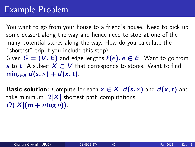You want to go from your house to a friend's house. Need to pick up some dessert along the way and hence need to stop at one of the many potential stores along the way. How do you calculate the "shortest" trip if you include this stop?

Given  $G = (V, E)$  and edge lengths  $\ell(e), e \in E$ . Want to go from s to t. A subset  $X \subset V$  that corresponds to stores. Want to find  $min_{x \in X} d(s, x) + d(x, t).$ 

**Basic solution:** Compute for each  $x \in X$ ,  $d(s, x)$  and  $d(x, t)$  and take minimum.  $2|X|$  shortest path computations.  $O(|X|(m + n \log n))$ .